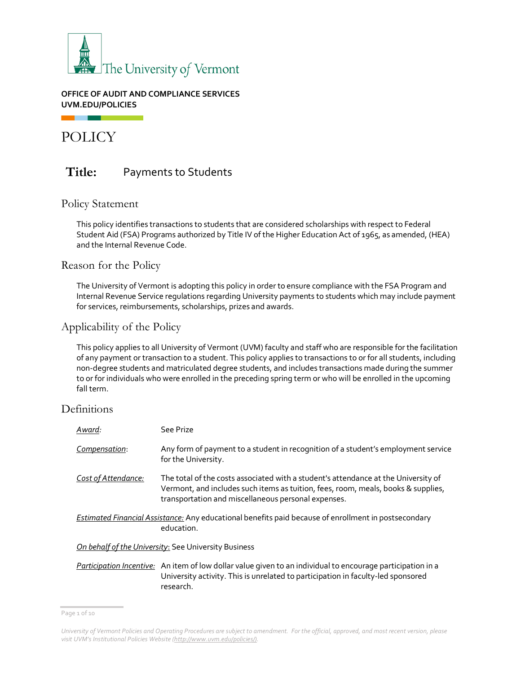

#### **OFFICE OF AUDIT AND COMPLIANCE SERVICES UVM.EDU/POLICIES**

POLICY

n a

# **Title:** Payments to Students

### Policy Statement

This policy identifies transactions to students that are considered scholarships with respect to Federal Student Aid (FSA) Programs authorized by Title IV of the Higher Education Act of 1965, as amended, (HEA) and the Internal Revenue Code.

Reason for the Policy

The University of Vermont is adopting this policy in order to ensure compliance with the FSA Program and Internal Revenue Service regulations regarding University payments to students which may include payment for services, reimbursements, scholarships, prizes and awards.

# Applicability of the Policy

This policy applies to all University of Vermont (UVM) faculty and staff who are responsible for the facilitation of any payment or transaction to a student. This policy applies to transactions to or for all students, including non-degree students and matriculated degree students, and includes transactions made during the summer to or for individuals who were enrolled in the preceding spring term or who will be enrolled in the upcoming fall term.

# Definitions

| Award:              | See Prize                                                                                                                                                                                                                      |
|---------------------|--------------------------------------------------------------------------------------------------------------------------------------------------------------------------------------------------------------------------------|
| Compensation:       | Any form of payment to a student in recognition of a student's employment service<br>for the University.                                                                                                                       |
| Cost of Attendance: | The total of the costs associated with a student's attendance at the University of<br>Vermont, and includes such items as tuition, fees, room, meals, books & supplies,<br>transportation and miscellaneous personal expenses. |
|                     | <b>Estimated Financial Assistance:</b> Any educational benefits paid because of enrollment in postsecondary<br>education.                                                                                                      |
|                     | On behalf of the University: See University Business                                                                                                                                                                           |
|                     | Participation Incentive: An item of low dollar value given to an individual to encourage participation in a<br>University activity. This is unrelated to participation in faculty-led sponsored<br>research.                   |

Page 1 of 10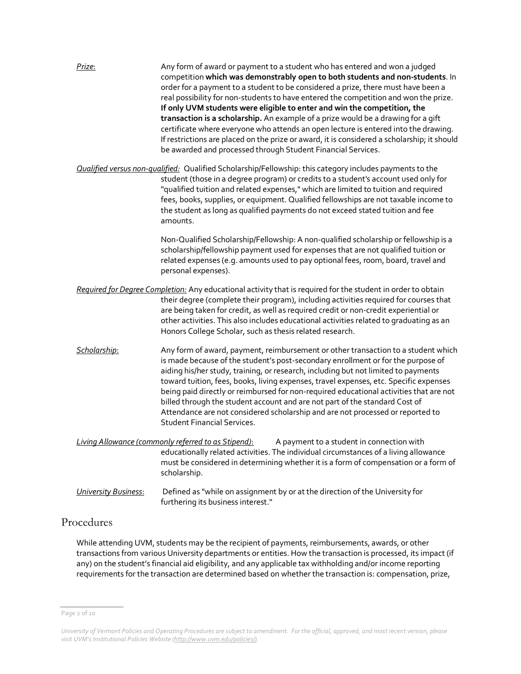| Prize:                      | Any form of award or payment to a student who has entered and won a judged<br>competition which was demonstrably open to both students and non-students. In<br>order for a payment to a student to be considered a prize, there must have been a<br>real possibility for non-students to have entered the competition and won the prize.<br>If only UVM students were eligible to enter and win the competition, the<br>transaction is a scholarship. An example of a prize would be a drawing for a gift<br>certificate where everyone who attends an open lecture is entered into the drawing.<br>If restrictions are placed on the prize or award, it is considered a scholarship; it should<br>be awarded and processed through Student Financial Services. |
|-----------------------------|-----------------------------------------------------------------------------------------------------------------------------------------------------------------------------------------------------------------------------------------------------------------------------------------------------------------------------------------------------------------------------------------------------------------------------------------------------------------------------------------------------------------------------------------------------------------------------------------------------------------------------------------------------------------------------------------------------------------------------------------------------------------|
|                             | <b>Qualified versus non-qualified:</b> Qualified Scholarship/Fellowship: this category includes payments to the<br>student (those in a degree program) or credits to a student's account used only for<br>"qualified tuition and related expenses," which are limited to tuition and required<br>fees, books, supplies, or equipment. Qualified fellowships are not taxable income to<br>the student as long as qualified payments do not exceed stated tuition and fee<br>amounts.                                                                                                                                                                                                                                                                             |
|                             | Non-Qualified Scholarship/Fellowship: A non-qualified scholarship or fellowship is a<br>scholarship/fellowship payment used for expenses that are not qualified tuition or<br>related expenses (e.g. amounts used to pay optional fees, room, board, travel and<br>personal expenses).                                                                                                                                                                                                                                                                                                                                                                                                                                                                          |
|                             | Required for Degree Completion: Any educational activity that is required for the student in order to obtain<br>their degree (complete their program), including activities required for courses that<br>are being taken for credit, as well as required credit or non-credit experiential or<br>other activities. This also includes educational activities related to graduating as an<br>Honors College Scholar, such as thesis related research.                                                                                                                                                                                                                                                                                                            |
| Scholarship:                | Any form of award, payment, reimbursement or other transaction to a student which<br>is made because of the student's post-secondary enrollment or for the purpose of<br>aiding his/her study, training, or research, including but not limited to payments<br>toward tuition, fees, books, living expenses, travel expenses, etc. Specific expenses<br>being paid directly or reimbursed for non-required educational activities that are not<br>billed through the student account and are not part of the standard Cost of<br>Attendance are not considered scholarship and are not processed or reported to<br><b>Student Financial Services.</b>                                                                                                           |
|                             | Living Allowance (commonly referred to as Stipend):<br>A payment to a student in connection with<br>educationally related activities. The individual circumstances of a living allowance<br>must be considered in determining whether it is a form of compensation or a form of<br>scholarship.                                                                                                                                                                                                                                                                                                                                                                                                                                                                 |
| <b>University Business:</b> | Defined as "while on assignment by or at the direction of the University for<br>furthering its business interest."                                                                                                                                                                                                                                                                                                                                                                                                                                                                                                                                                                                                                                              |

# Procedures

While attending UVM, students may be the recipient of payments, reimbursements, awards, or other transactions from various University departments or entities. How the transaction is processed, its impact (if any) on the student's financial aid eligibility, and any applicable tax withholding and/or income reporting requirements for the transaction are determined based on whether the transaction is: compensation, prize,

Page 2 of 10

*University of Vermont Policies and Operating Procedures are subject to amendment. For the official, approved, and most recent version, please visit UVM's Institutional Policies Website [\(http://www.uvm.edu/policies/\).](http://www.uvm.edu/policies/)*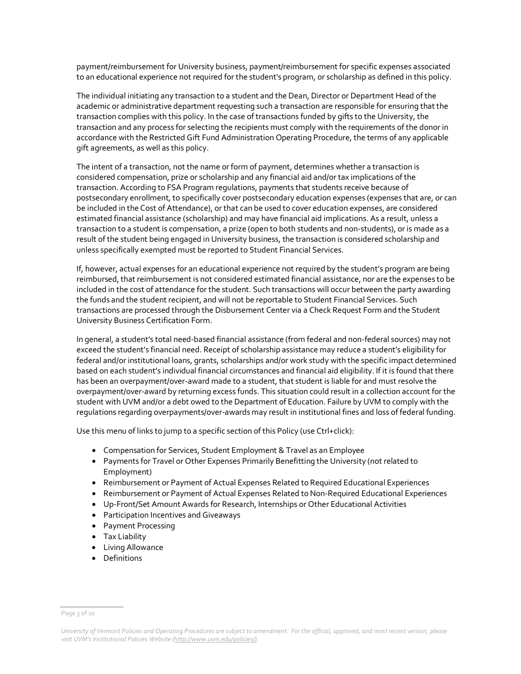payment/reimbursement for University business, payment/reimbursement for specific expenses associated to an educational experience not required for the student's program, or scholarship as defined in this policy.

The individual initiating any transaction to a student and the Dean, Director or Department Head of the academic or administrative department requesting such a transaction are responsible for ensuring that the transaction complies with this policy. In the case of transactions funded by gifts to the University, the transaction and any process for selecting the recipients must comply with the requirements of the donor in accordance with the Restricted Gift Fund Administration Operating Procedure, the terms of any applicable gift agreements, as well as this policy.

The intent of a transaction, not the name or form of payment, determines whether a transaction is considered compensation, prize or scholarship and any financial aid and/or tax implications of the transaction. According to FSA Program regulations, payments that students receive because of postsecondary enrollment, to specifically cover postsecondary education expenses (expenses that are, or can be included in the Cost of Attendance), or that can be used to cover education expenses, are considered estimated financial assistance (scholarship) and may have financial aid implications. As a result, unless a transaction to a student is compensation, a prize (open to both students and non-students), or is made as a result of the student being engaged in University business, the transaction is considered scholarship and unless specifically exempted must be reported to Student Financial Services.

If, however, actual expenses for an educational experience not required by the student's program are being reimbursed, that reimbursement is not considered estimated financial assistance, nor are the expenses to be included in the cost of attendance for the student. Such transactions will occur between the party awarding the funds and the student recipient, and will not be reportable to Student Financial Services. Such transactions are processed through the Disbursement Center via a Check Request Form and the Student University Business Certification Form.

In general, a student's total need-based financial assistance (from federal and non-federal sources) may not exceed the student's financial need. Receipt of scholarship assistance may reduce a student's eligibility for federal and/or institutional loans, grants, scholarships and/or work study with the specific impact determined based on each student's individual financial circumstances and financial aid eligibility. If it is found that there has been an overpayment/over-award made to a student, that student is liable for and must resolve the overpayment/over-award by returning excess funds. This situation could result in a collection account for the student with UVM and/or a debt owed to the Department of Education. Failure by UVM to comply with the regulations regarding overpayments/over-awards may result in institutional fines and loss of federal funding.

Use this menu of links to jump to a specific section of this Policy (use Ctrl+click):

- [Compensation for Services, Student Employment & Travel as an Employee](#page-2-0)
- Payments for Travel or Other Expenses Primarily Benefitting the University (not related to Employment)
- Reimbursement or Payment of Actual Expenses Related to Required Educational Experiences
- Reimbursement or Payment of Actual Expenses Related to Non-Required Educational Experiences
- Up-Front/Set Amount Awards for Research, Internships or Other Educational Activities
- Participation Incentives and Giveaways
- Payment Processing
- Tax Liability
- Living Allowance
- <span id="page-2-0"></span>• Definitions

Page 3 of 10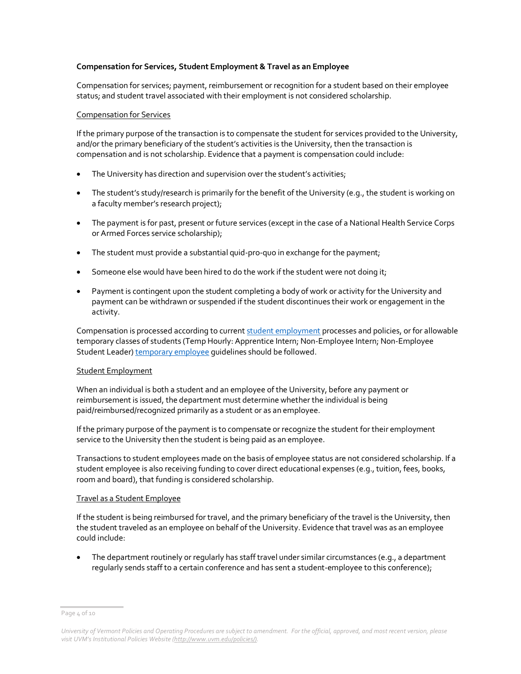#### **Compensation for Services, Student Employment & Travel as an Employee**

Compensation for services; payment, reimbursement or recognition for a student based on their employee status; and student travel associated with their employment is not considered scholarship.

#### Compensation for Services

If the primary purpose of the transaction is to compensate the student for services provided to the University, and/or the primary beneficiary of the student's activities is the University, then the transaction is compensation and is not scholarship. Evidence that a payment is compensation could include:

- The University has direction and supervision over the student's activities;
- The student's study/research is primarily for the benefit of the University (e.g., the student is working on a faculty member's research project);
- The payment is for past, present or future services (except in the case of a National Health Service Corps or Armed Forces service scholarship);
- The student must provide a substantial quid-pro-quo in exchange for the payment;
- Someone else would have been hired to do the work if the student were not doing it;
- Payment is contingent upon the student completing a body of work or activity for the University and payment can be withdrawn or suspended if the student discontinues their work or engagement in the activity.

Compensation is processed according to curren[t student employment](https://www.uvm.edu/sites/default/files/UVM-Policies/policies/ug_employ.pdf) processes and policies, or for allowable temporary classes of students (Temp Hourly: Apprentice Intern; Non-Employee Intern; Non-Employee Student Leader[\) temporary employee](https://www.uvm.edu/hrs/hiring-guide-temp-employees) quidelines should be followed.

#### Student Employment

When an individual is both a student and an employee of the University, before any payment or reimbursement is issued, the department must determine whether the individual is being paid/reimbursed/recognized primarily as a student or as an employee.

If the primary purpose of the payment is to compensate or recognize the student for their employment service to the University then the student is being paid as an employee.

Transactions to student employees made on the basis of employee status are not considered scholarship. If a student employee is also receiving funding to cover direct educational expenses (e.g., tuition, fees, books, room and board), that funding is considered scholarship.

#### Travel as a Student Employee

If the student is being reimbursed for travel, and the primary beneficiary of the travel is the University, then the student traveled as an employee on behalf of the University. Evidence that travel was as an employee could include:

• The department routinely or regularly has staff travel under similar circumstances (e.g., a department regularly sends staff to a certain conference and has sent a student-employee to this conference);

Page 4 of 10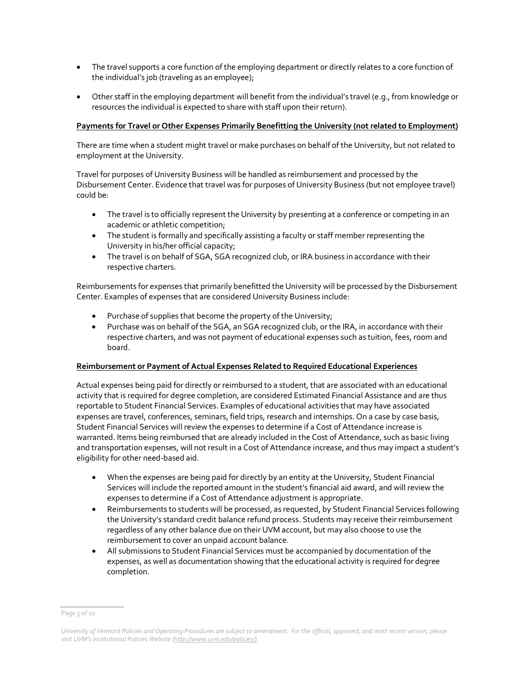- The travel supports a core function of the employing department or directly relates to a core function of the individual's job (traveling as an employee);
- Other staff in the employing department will benefit from the individual's travel (e.g., from knowledge or resources the individual is expected to share with staff upon their return).

#### **Payments for Travel or Other Expenses Primarily Benefitting the University (not related to Employment)**

There are time when a student might travel or make purchases on behalf of the University, but not related to employment at the University.

Travel for purposes of University Business will be handled as reimbursement and processed by the Disbursement Center. Evidence that travel was for purposes of University Business (but not employee travel) could be:

- The travel is to officially represent the University by presenting at a conference or competing in an academic or athletic competition;
- The student is formally and specifically assisting a faculty or staff member representing the University in his/her official capacity;
- The travel is on behalf of SGA, SGA recognized club, or IRA business in accordance with their respective charters.

Reimbursements for expenses that primarily benefitted the University will be processed by the Disbursement Center. Examples of expenses that are considered University Business include:

- Purchase of supplies that become the property of the University;
- Purchase was on behalf of the SGA, an SGA recognized club, or the IRA, in accordance with their respective charters, and was not payment of educational expenses such as tuition, fees, room and board.

#### **Reimbursement or Payment of Actual Expenses Related to Required Educational Experiences**

Actual expenses being paid for directly or reimbursed to a student, that are associated with an educational activity that is required for degree completion, are considered Estimated Financial Assistance and are thus reportable to Student Financial Services. Examples of educational activities that may have associated expenses are travel, conferences, seminars, field trips, research and internships. On a case by case basis, Student Financial Services will review the expenses to determine if a Cost of Attendance increase is warranted. Items being reimbursed that are already included in the Cost of Attendance, such as basic living and transportation expenses, will not result in a Cost of Attendance increase, and thus may impact a student's eligibility for other need-based aid.

- When the expenses are being paid for directly by an entity at the University, Student Financial Services will include the reported amount in the student's financial aid award, and will review the expenses to determine if a Cost of Attendance adjustment is appropriate.
- Reimbursements to students will be processed, as requested, by Student Financial Services following the University's standard credit balance refund process. Students may receive their reimbursement regardless of any other balance due on their UVM account, but may also choose to use the reimbursement to cover an unpaid account balance.
- All submissions to Student Financial Services must be accompanied by documentation of the expenses, as well as documentation showing that the educational activity is required for degree completion.

Page 5 of 10

*University of Vermont Policies and Operating Procedures are subject to amendment. For the official, approved, and most recent version, please visit UVM's Institutional Policies Website [\(http://www.uvm.edu/policies/\).](http://www.uvm.edu/policies/)*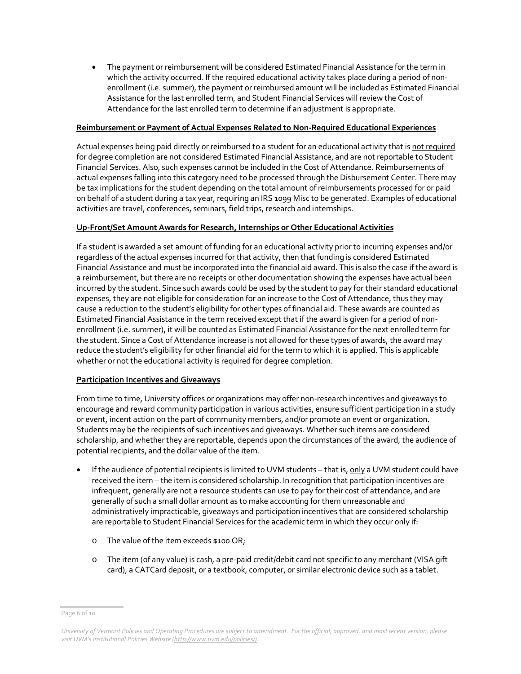• The payment or reimbursement will be considered Estimated Financial Assistance for the term in which the activity occurred. If the required educational activity takes place during a period of nonenrollment (i.e. summer), the payment or reimbursed amount will be included as Estimated Financial Assistance for the last enrolled term, and Student Financial Services will review the Cost of Attendance for the last enrolled term to determine if an adjustment is appropriate.

#### **Reimbursement or Payment of Actual Expenses Related to Non-Required Educational Experiences**

Actual expenses being paid directly or reimbursed to a student for an educational activity that is not required for degree completion are not considered Estimated Financial Assistance, and are not reportable to Student Financial Services. Also, such expenses cannot be included in the Cost of Attendance. Reimbursements of actual expenses falling into this category need to be processed through the Disbursement Center. There may be tax implications for the student depending on the total amount of reimbursements processed for or paid on behalf of a student during a tax year, requiring an IRS 1099 Misc to be generated. Examples of educational activities are travel, conferences, seminars, field trips, research and internships.

#### **Up-Front/Set Amount Awards for Research, Internships or Other Educational Activities**

If a student is awarded a set amount of funding for an educational activity prior to incurring expenses and/or regardless of the actual expenses incurred for that activity, then that funding is considered Estimated Financial Assistance and must be incorporated into the financial aid award. This is also the case if the award is a reimbursement, but there are no receipts or other documentation showing the expenses have actual been incurred by the student. Since such awards could be used by the student to pay for their standard educational expenses, they are not eligible for consideration for an increase to the Cost of Attendance, thus they may cause a reduction to the student's eligibility for other types of financial aid. These awards are counted as Estimated Financial Assistance in the term received except that if the award is given for a period of nonenrollment (i.e. summer), it will be counted as Estimated Financial Assistance for the next enrolled term for the student. Since a Cost of Attendance increase is not allowed for these types of awards, the award may reduce the student's eligibility for other financial aid for the term to which it is applied. This is applicable whether or not the educational activity is required for degree completion.

#### **Participation Incentives and Giveaways**

From time to time, University offices or organizations may offer non-research incentives and giveaways to encourage and reward community participation in various activities, ensure sufficient participation in a study or event, incent action on the part of community members, and/or promote an event or organization. Students may be the recipients of such incentives and giveaways. Whether such items are considered scholarship, and whether they are reportable, depends upon the circumstances of the award, the audience of potential recipients, and the dollar value of the item.

- If the audience of potential recipients is limited to UVM students that is, only a UVM student could have received the item – the item is considered scholarship. In recognition that participation incentives are infrequent, generally are not a resource students can use to pay for their cost of attendance, and are generally of such a small dollar amount as to make accounting for them unreasonable and administratively impracticable, giveaways and participation incentives that are considered scholarship are reportable to Student Financial Services for the academic term in which they occur only if:
	- o The value of the item exceeds \$100 OR;
	- o The item (of any value) is cash, a pre-paid credit/debit card not specific to any merchant (VISA gift card), a CATCard deposit, or a textbook, computer, or similar electronic device such as a tablet.

Page 6 of 10

*University of Vermont Policies and Operating Procedures are subject to amendment. For the official, approved, and most recent version, please visit UVM's Institutional Policies Website [\(http://www.uvm.edu/policies/\).](http://www.uvm.edu/policies/)*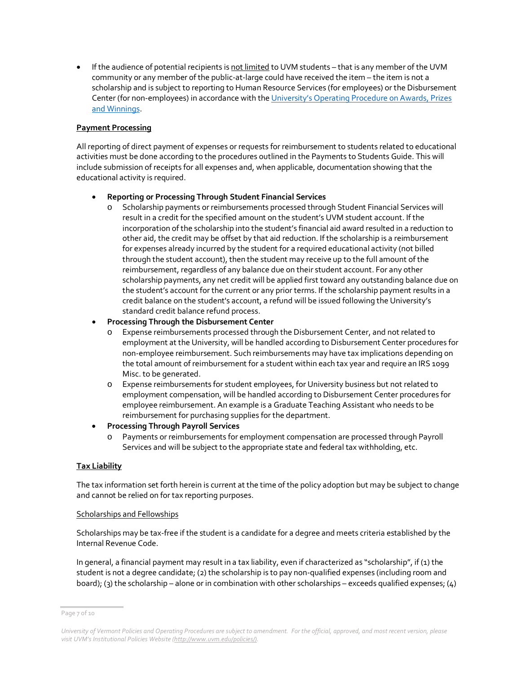• If the audience of potential recipients is not limited to UVM students – that is any member of the UVM community or any member of the public-at-large could have received the item – the item is not a scholarship and is subject to reporting to Human Resource Services (for employees) or the Disbursement Center (for non-employees) in accordance with the University's Operating Procedure on Awards, Prizes [and Winnings.](https://www.uvm.edu/sites/default/files/UVM-Policies/policies/prizes.pdf)

#### **Payment Processing**

All reporting of direct payment of expenses or requests for reimbursement to students related to educational activities must be done according to the procedures outlined in the Payments to Students Guide. This will include submission of receipts for all expenses and, when applicable, documentation showing that the educational activity is required.

#### • **Reporting or Processing Through Student Financial Services**

o Scholarship payments or reimbursements processed through Student Financial Services will result in a credit for the specified amount on the student's UVM student account. If the incorporation of the scholarship into the student's financial aid award resulted in a reduction to other aid, the credit may be offset by that aid reduction. If the scholarship is a reimbursement for expenses already incurred by the student for a required educational activity (not billed through the student account), then the student may receive up to the full amount of the reimbursement, regardless of any balance due on their student account. For any other scholarship payments, any net credit will be applied first toward any outstanding balance due on the student's account for the current or any prior terms. If the scholarship payment results in a credit balance on the student's account, a refund will be issued following the University's standard credit balance refund process.

#### • **Processing Through the Disbursement Center**

- Expense reimbursements processed through the Disbursement Center, and not related to employment at the University, will be handled according to Disbursement Center procedures for non-employee reimbursement. Such reimbursements may have tax implications depending on the total amount of reimbursement for a student within each tax year and require an IRS 1099 Misc. to be generated.
- o Expense reimbursements for student employees, for University business but not related to employment compensation, will be handled according to Disbursement Center procedures for employee reimbursement. An example is a Graduate Teaching Assistant who needs to be reimbursement for purchasing supplies for the department.

#### • **Processing Through Payroll Services**

o Payments or reimbursements for employment compensation are processed through Payroll Services and will be subject to the appropriate state and federal tax withholding, etc.

#### **Tax Liability**

The tax information set forth herein is current at the time of the policy adoption but may be subject to change and cannot be relied on for tax reporting purposes.

#### Scholarships and Fellowships

Scholarships may be tax-free if the student is a candidate for a degree and meets criteria established by the Internal Revenue Code.

In general, a financial payment may result in a tax liability, even if characterized as "scholarship", if (1) the student is not a degree candidate; (2) the scholarship is to pay non-qualified expenses (including room and board); (3) the scholarship – alone or in combination with other scholarships – exceeds qualified expenses; (4)

Page 7 of 10

*University of Vermont Policies and Operating Procedures are subject to amendment. For the official, approved, and most recent version, please visit UVM's Institutional Policies Website [\(http://www.uvm.edu/policies/\).](http://www.uvm.edu/policies/)*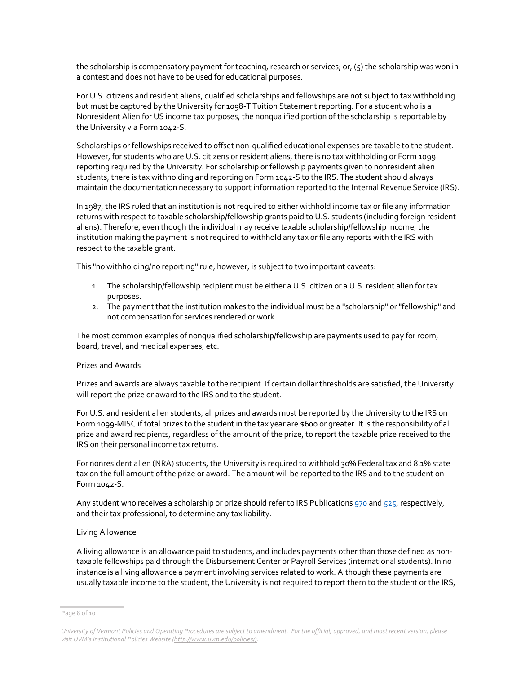the scholarship is compensatory payment for teaching, research or services; or, (5) the scholarship was won in a contest and does not have to be used for educational purposes.

For U.S. citizens and resident aliens, qualified scholarships and fellowships are not subject to tax withholding but must be captured by the University for 1098-T Tuition Statement reporting. For a student who is a Nonresident Alien for US income tax purposes, the nonqualified portion of the scholarship is reportable by the University via Form 1042-S.

Scholarships or fellowships received to offset non-qualified educational expenses are taxable to the student. However, for students who are U.S. citizens or resident aliens, there is no tax withholding or Form 1099 reporting required by the University. For scholarship or fellowship payments given to nonresident alien students, there is tax withholding and reporting on Form 1042-S to the IRS. The student should always maintain the documentation necessary to support information reported to the Internal Revenue Service (IRS).

In 1987, the IRS ruled that an institution is not required to either withhold income tax or file any information returns with respect to taxable scholarship/fellowship grants paid to U.S. students (including foreign resident aliens). Therefore, even though the individual may receive taxable scholarship/fellowship income, the institution making the payment is not required to withhold any tax or file any reports with the IRS with respect to the taxable grant.

This "no withholding/no reporting" rule, however, is subject to two important caveats:

- 1. The scholarship/fellowship recipient must be either a U.S. citizen or a U.S. resident alien for tax purposes.
- 2. The payment that the institution makes to the individual must be a "scholarship" or "fellowship" and not compensation for services rendered or work.

The most common examples of nonqualified scholarship/fellowship are payments used to pay for room, board, travel, and medical expenses, etc.

#### Prizes and Awards

Prizes and awards are always taxable to the recipient. If certain dollar thresholds are satisfied, the University will report the prize or award to the IRS and to the student.

For U.S. and resident alien students, all prizes and awards must be reported by the University to the IRS on Form 1099-MISC if total prizes to the student in the tax year are \$600 or greater. It is the responsibility of all prize and award recipients, regardless of the amount of the prize, to report the taxable prize received to the IRS on their personal income tax returns.

For nonresident alien (NRA) students, the University is required to withhold 30% Federal tax and 8.1% state tax on the full amount of the prize or award. The amount will be reported to the IRS and to the student on Form 1042-S.

Any student who receives a scholarship or prize should refer to IRS Publications [970](http://www.irs.gov/publications/p970/index.html) an[d 525,](http://www.irs.gov/publications/p525/index.html) respectively, and their tax professional, to determine any tax liability.

#### Living Allowance

A living allowance is an allowance paid to students, and includes payments other than those defined as nontaxable fellowships paid through the Disbursement Center or Payroll Services (international students). In no instance is a living allowance a payment involving services related to work. Although these payments are usually taxable income to the student, the University is not required to report them to the student or the IRS,

Page 8 of 10

*University of Vermont Policies and Operating Procedures are subject to amendment. For the official, approved, and most recent version, please visit UVM's Institutional Policies Website [\(http://www.uvm.edu/policies/\).](http://www.uvm.edu/policies/)*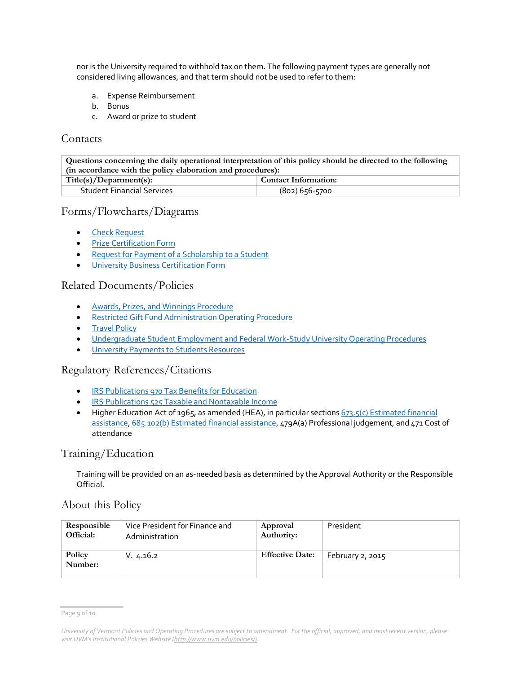nor is the University required to withhold tax on them. The following payment types are generally not considered living allowances, and that term should not be used to refer to them:

- a. Expense Reimbursement
- b. Bonus
- c. Award or prize to student

### **Contacts**

**Questions concerning the daily operational interpretation of this policy should be directed to the following (in accordance with the policy elaboration and procedures):**  $Title(s)/Department(s):$ Student Financial Services (802) 656-5700

### Forms/Flowcharts/Diagrams

- [Check Request](https://www.uvm.edu/sites/default/files/Division-of-Finance/Forms/checkrequestsingle.xlsx)
- **[Prize Certification Form](https://www.uvm.edu/sites/default/files/Division-of-Finance/Forms/prize_cert.pdf)**
- [Request for Payment of a Scholarship to a Student](http://www.uvm.edu/%7Estdfinsv/paymentstostudents/)
- [University Business Certification Form](https://www.uvm.edu/sites/default/files/Division-of-Finance/Forms/univ_bus_cert.pdf)

### Related Documents/Policies

- [Awards, Prizes, and Winnings Procedure](https://www.uvm.edu/sites/default/files/UVM-Policies/policies/prizes.pdf)
- [Restricted Gift Fund Administration Operating Procedure](https://www.uvm.edu/sites/default/files/UVM-Policies/policies/restrictgift.pdf)
- **[Travel Policy](https://www.uvm.edu/sites/default/files/UVM-Policies/policies/travel.pdf)**
- [Undergraduate Student Employment and Federal Work-Study University Operating Procedures](https://www.uvm.edu/sites/default/files/UVM-Policies/policies/ug_employ.pdf)
- [University Payments to Students Resources](http://www.uvm.edu/%7Estdfinsv/paymentstostudents/)

### Regulatory References/Citations

- **IRS Publications 970 [Tax Benefits for Education](http://www.irs.gov/publications/p970/index.html)**
- IRS Publications 525 [Taxable and Nontaxable Income](http://www.irs.gov/publications/p525/index.html)
- Higher Education Act of 1965, as amended (HEA), in particular sections  $673.5(c)$  Estimated financial [assistance,](https://www.law.cornell.edu/cfr/text/34/673.5) [685.102\(b\) Estimated financial assistance,](https://www.law.cornell.edu/cfr/text/34/685.102) 479A(a) Professional judgement, and 471 Cost of attendance

# Training/Education

Training will be provided on an as-needed basis as determined by the Approval Authority or the Responsible Official.

### About this Policy

| Responsible       | Vice President for Finance and | Approval               | President        |
|-------------------|--------------------------------|------------------------|------------------|
| Official:         | Administration                 | Authority:             |                  |
| Policy<br>Number: | V. 4.16.2                      | <b>Effective Date:</b> | February 2, 2015 |

Page 9 of 10

*University of Vermont Policies and Operating Procedures are subject to amendment. For the official, approved, and most recent version, please visit UVM's Institutional Policies Website [\(http://www.uvm.edu/policies/\).](http://www.uvm.edu/policies/)*